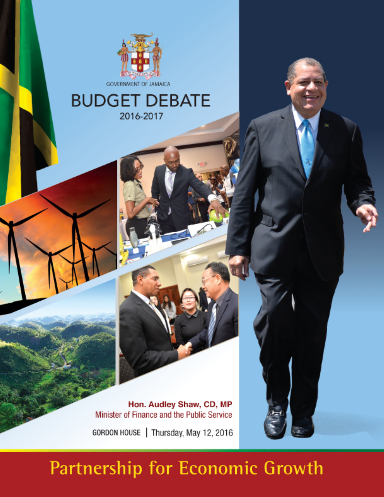

# **BUDGET DEBATE** 2016-2017

Hon. Audley Shaw, CD, MP Minister of Finance and the Public Service GORDON HOUSE | Thursday, May 12, 2016

# Partnership for Economic Growth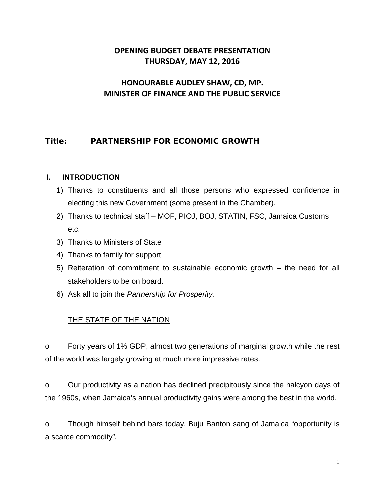# **OPENING BUDGET DEBATE PRESENTATION THURSDAY, MAY 12, 2016**

# **HONOURABLE AUDLEY SHAW, CD, MP. MINISTER OF FINANCE AND THE PUBLIC SERVICE**

# Title: PARTNERSHIP FOR ECONOMIC GROWTH

#### **I. INTRODUCTION**

- 1) Thanks to constituents and all those persons who expressed confidence in electing this new Government (some present in the Chamber).
- 2) Thanks to technical staff MOF, PIOJ, BOJ, STATIN, FSC, Jamaica Customs etc.
- 3) Thanks to Ministers of State
- 4) Thanks to family for support
- 5) Reiteration of commitment to sustainable economic growth the need for all stakeholders to be on board.
- 6) Ask all to join the *Partnership for Prosperity.*

# THE STATE OF THE NATION

o Forty years of 1% GDP, almost two generations of marginal growth while the rest of the world was largely growing at much more impressive rates.

o Our productivity as a nation has declined precipitously since the halcyon days of the 1960s, when Jamaica's annual productivity gains were among the best in the world.

o Though himself behind bars today, Buju Banton sang of Jamaica "opportunity is a scarce commodity".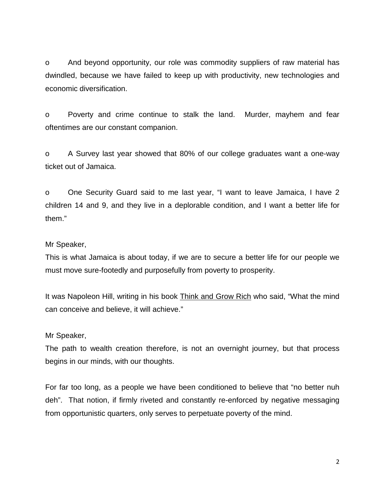o And beyond opportunity, our role was commodity suppliers of raw material has dwindled, because we have failed to keep up with productivity, new technologies and economic diversification.

o Poverty and crime continue to stalk the land. Murder, mayhem and fear oftentimes are our constant companion.

o A Survey last year showed that 80% of our college graduates want a one-way ticket out of Jamaica.

o One Security Guard said to me last year, "I want to leave Jamaica, I have 2 children 14 and 9, and they live in a deplorable condition, and I want a better life for them."

#### Mr Speaker,

This is what Jamaica is about today, if we are to secure a better life for our people we must move sure-footedly and purposefully from poverty to prosperity.

It was Napoleon Hill, writing in his book Think and Grow Rich who said, "What the mind can conceive and believe, it will achieve."

#### Mr Speaker,

The path to wealth creation therefore, is not an overnight journey, but that process begins in our minds, with our thoughts.

For far too long, as a people we have been conditioned to believe that "no better nuh deh". That notion, if firmly riveted and constantly re-enforced by negative messaging from opportunistic quarters, only serves to perpetuate poverty of the mind.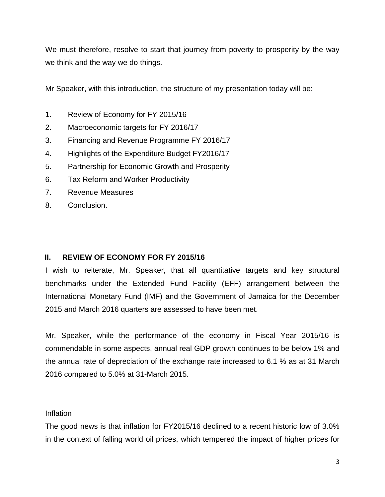We must therefore, resolve to start that journey from poverty to prosperity by the way we think and the way we do things.

Mr Speaker, with this introduction, the structure of my presentation today will be:

- 1. Review of Economy for FY 2015/16
- 2. Macroeconomic targets for FY 2016/17
- 3. Financing and Revenue Programme FY 2016/17
- 4. Highlights of the Expenditure Budget FY2016/17
- 5. Partnership for Economic Growth and Prosperity
- 6. Tax Reform and Worker Productivity
- 7. Revenue Measures
- 8. Conclusion.

# **II. REVIEW OF ECONOMY FOR FY 2015/16**

I wish to reiterate, Mr. Speaker, that all quantitative targets and key structural benchmarks under the Extended Fund Facility (EFF) arrangement between the International Monetary Fund (IMF) and the Government of Jamaica for the December 2015 and March 2016 quarters are assessed to have been met.

Mr. Speaker, while the performance of the economy in Fiscal Year 2015/16 is commendable in some aspects, annual real GDP growth continues to be below 1% and the annual rate of depreciation of the exchange rate increased to 6.1 % as at 31 March 2016 compared to 5.0% at 31-March 2015.

# Inflation

The good news is that inflation for FY2015/16 declined to a recent historic low of 3.0% in the context of falling world oil prices, which tempered the impact of higher prices for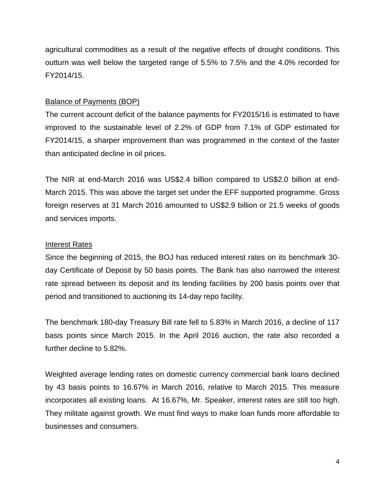agricultural commodities as a result of the negative effects of drought conditions. This outturn was well below the targeted range of 5.5% to 7.5% and the 4.0% recorded for FY2014/15.

#### Balance of Payments (BOP)

The current account deficit of the balance payments for FY2015/16 is estimated to have improved to the sustainable level of 2.2% of GDP from 7.1% of GDP estimated for FY2014/15, a sharper improvement than was programmed in the context of the faster than anticipated decline in oil prices.

The NIR at end-March 2016 was US\$2.4 billion compared to US\$2.0 billion at end-March 2015. This was above the target set under the EFF supported programme. Gross foreign reserves at 31 March 2016 amounted to US\$2.9 billion or 21.5 weeks of goods and services imports.

#### Interest Rates

Since the beginning of 2015, the BOJ has reduced interest rates on its benchmark 30 day Certificate of Deposit by 50 basis points. The Bank has also narrowed the interest rate spread between its deposit and its lending facilities by 200 basis points over that period and transitioned to auctioning its 14-day repo facility.

The benchmark 180-day Treasury Bill rate fell to 5.83% in March 2016, a decline of 117 basis points since March 2015. In the April 2016 auction, the rate also recorded a further decline to 5.82%.

Weighted average lending rates on domestic currency commercial bank loans declined by 43 basis points to 16.67% in March 2016, relative to March 2015. This measure incorporates all existing loans. At 16.67%, Mr. Speaker, interest rates are still too high. They militate against growth. We must find ways to make loan funds more affordable to businesses and consumers.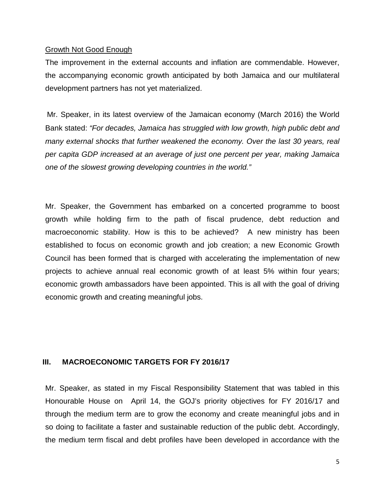#### Growth Not Good Enough

The improvement in the external accounts and inflation are commendable. However, the accompanying economic growth anticipated by both Jamaica and our multilateral development partners has not yet materialized.

Mr. Speaker, in its latest overview of the Jamaican economy (March 2016) the World Bank stated: *"For decades, Jamaica has struggled with low growth, high public debt and many external shocks that further weakened the economy. Over the last 30 years, real per capita GDP increased at an average of just one percent per year, making Jamaica one of the slowest growing developing countries in the world."*

Mr. Speaker, the Government has embarked on a concerted programme to boost growth while holding firm to the path of fiscal prudence, debt reduction and macroeconomic stability. How is this to be achieved? A new ministry has been established to focus on economic growth and job creation; a new Economic Growth Council has been formed that is charged with accelerating the implementation of new projects to achieve annual real economic growth of at least 5% within four years; economic growth ambassadors have been appointed. This is all with the goal of driving economic growth and creating meaningful jobs.

#### **III. MACROECONOMIC TARGETS FOR FY 2016/17**

Mr. Speaker, as stated in my Fiscal Responsibility Statement that was tabled in this Honourable House on April 14, the GOJ's priority objectives for FY 2016/17 and through the medium term are to grow the economy and create meaningful jobs and in so doing to facilitate a faster and sustainable reduction of the public debt. Accordingly, the medium term fiscal and debt profiles have been developed in accordance with the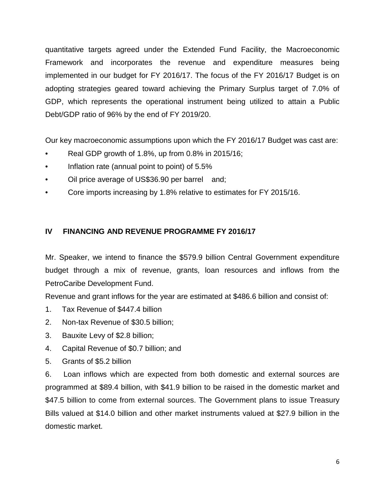quantitative targets agreed under the Extended Fund Facility, the Macroeconomic Framework and incorporates the revenue and expenditure measures being implemented in our budget for FY 2016/17. The focus of the FY 2016/17 Budget is on adopting strategies geared toward achieving the Primary Surplus target of 7.0% of GDP, which represents the operational instrument being utilized to attain a Public Debt/GDP ratio of 96% by the end of FY 2019/20.

Our key macroeconomic assumptions upon which the FY 2016/17 Budget was cast are:

- Real GDP growth of 1.8%, up from 0.8% in 2015/16;
- Inflation rate (annual point to point) of 5.5%
- Oil price average of US\$36.90 per barrel and;
- Core imports increasing by 1.8% relative to estimates for FY 2015/16.

# **IV FINANCING AND REVENUE PROGRAMME FY 2016/17**

Mr. Speaker, we intend to finance the \$579.9 billion Central Government expenditure budget through a mix of revenue, grants, loan resources and inflows from the PetroCaribe Development Fund.

Revenue and grant inflows for the year are estimated at \$486.6 billion and consist of:

- 1. Tax Revenue of \$447.4 billion
- 2. Non-tax Revenue of \$30.5 billion;
- 3. Bauxite Levy of \$2.8 billion;
- 4. Capital Revenue of \$0.7 billion; and
- 5. Grants of \$5.2 billion

6. Loan inflows which are expected from both domestic and external sources are programmed at \$89.4 billion, with \$41.9 billion to be raised in the domestic market and \$47.5 billion to come from external sources. The Government plans to issue Treasury Bills valued at \$14.0 billion and other market instruments valued at \$27.9 billion in the domestic market.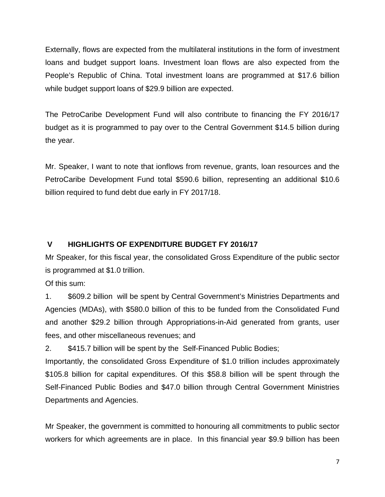Externally, flows are expected from the multilateral institutions in the form of investment loans and budget support loans. Investment loan flows are also expected from the People's Republic of China. Total investment loans are programmed at \$17.6 billion while budget support loans of \$29.9 billion are expected.

The PetroCaribe Development Fund will also contribute to financing the FY 2016/17 budget as it is programmed to pay over to the Central Government \$14.5 billion during the year.

Mr. Speaker, I want to note that ionflows from revenue, grants, loan resources and the PetroCaribe Development Fund total \$590.6 billion, representing an additional \$10.6 billion required to fund debt due early in FY 2017/18.

# **V HIGHLIGHTS OF EXPENDITURE BUDGET FY 2016/17**

Mr Speaker, for this fiscal year, the consolidated Gross Expenditure of the public sector is programmed at \$1.0 trillion.

Of this sum:

1. \$609.2 billion will be spent by Central Government's Ministries Departments and Agencies (MDAs), with \$580.0 billion of this to be funded from the Consolidated Fund and another \$29.2 billion through Appropriations-in-Aid generated from grants, user fees, and other miscellaneous revenues; and

2. \$415.7 billion will be spent by the Self-Financed Public Bodies;

Importantly, the consolidated Gross Expenditure of \$1.0 trillion includes approximately \$105.8 billion for capital expenditures. Of this \$58.8 billion will be spent through the Self-Financed Public Bodies and \$47.0 billion through Central Government Ministries Departments and Agencies.

Mr Speaker, the government is committed to honouring all commitments to public sector workers for which agreements are in place. In this financial year \$9.9 billion has been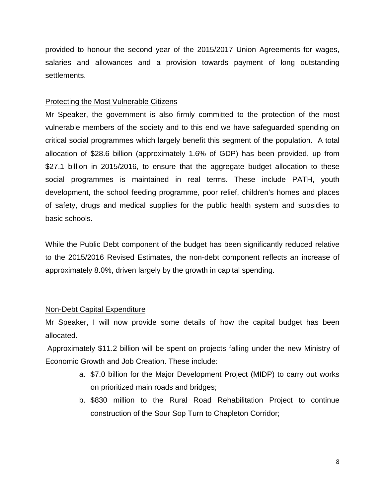provided to honour the second year of the 2015/2017 Union Agreements for wages, salaries and allowances and a provision towards payment of long outstanding settlements.

#### Protecting the Most Vulnerable Citizens

Mr Speaker, the government is also firmly committed to the protection of the most vulnerable members of the society and to this end we have safeguarded spending on critical social programmes which largely benefit this segment of the population. A total allocation of \$28.6 billion (approximately 1.6% of GDP) has been provided, up from \$27.1 billion in 2015/2016, to ensure that the aggregate budget allocation to these social programmes is maintained in real terms. These include PATH, youth development, the school feeding programme, poor relief, children's homes and places of safety, drugs and medical supplies for the public health system and subsidies to basic schools.

While the Public Debt component of the budget has been significantly reduced relative to the 2015/2016 Revised Estimates, the non-debt component reflects an increase of approximately 8.0%, driven largely by the growth in capital spending.

# Non-Debt Capital Expenditure

Mr Speaker, I will now provide some details of how the capital budget has been allocated.

Approximately \$11.2 billion will be spent on projects falling under the new Ministry of Economic Growth and Job Creation. These include:

- a. \$7.0 billion for the Major Development Project (MIDP) to carry out works on prioritized main roads and bridges;
- b. \$830 million to the Rural Road Rehabilitation Project to continue construction of the Sour Sop Turn to Chapleton Corridor;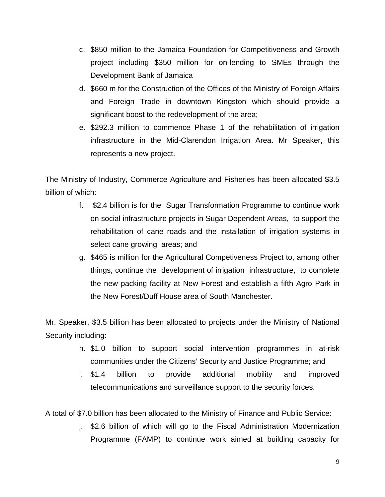- c. \$850 million to the Jamaica Foundation for Competitiveness and Growth project including \$350 million for on-lending to SMEs through the Development Bank of Jamaica
- d. \$660 m for the Construction of the Offices of the Ministry of Foreign Affairs and Foreign Trade in downtown Kingston which should provide a significant boost to the redevelopment of the area;
- e. \$292.3 million to commence Phase 1 of the rehabilitation of irrigation infrastructure in the Mid-Clarendon Irrigation Area. Mr Speaker, this represents a new project.

The Ministry of Industry, Commerce Agriculture and Fisheries has been allocated \$3.5 billion of which:

- f. \$2.4 billion is for the Sugar Transformation Programme to continue work on social infrastructure projects in Sugar Dependent Areas, to support the rehabilitation of cane roads and the installation of irrigation systems in select cane growing areas; and
- g. \$465 is million for the Agricultural Competiveness Project to, among other things, continue the development of irrigation infrastructure, to complete the new packing facility at New Forest and establish a fifth Agro Park in the New Forest/Duff House area of South Manchester.

Mr. Speaker, \$3.5 billion has been allocated to projects under the Ministry of National Security including:

- h. \$1.0 billion to support social intervention programmes in at-risk communities under the Citizens' Security and Justice Programme; and
- i. \$1.4 billion to provide additional mobility and improved telecommunications and surveillance support to the security forces.

A total of \$7.0 billion has been allocated to the Ministry of Finance and Public Service:

j. \$2.6 billion of which will go to the Fiscal Administration Modernization Programme (FAMP) to continue work aimed at building capacity for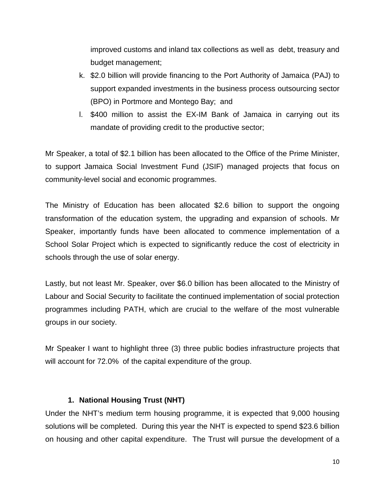improved customs and inland tax collections as well as debt, treasury and budget management;

- k. \$2.0 billion will provide financing to the Port Authority of Jamaica (PAJ) to support expanded investments in the business process outsourcing sector (BPO) in Portmore and Montego Bay; and
- l. \$400 million to assist the EX-IM Bank of Jamaica in carrying out its mandate of providing credit to the productive sector;

Mr Speaker, a total of \$2.1 billion has been allocated to the Office of the Prime Minister, to support Jamaica Social Investment Fund (JSIF) managed projects that focus on community-level social and economic programmes.

The Ministry of Education has been allocated \$2.6 billion to support the ongoing transformation of the education system, the upgrading and expansion of schools. Mr Speaker, importantly funds have been allocated to commence implementation of a School Solar Project which is expected to significantly reduce the cost of electricity in schools through the use of solar energy.

Lastly, but not least Mr. Speaker, over \$6.0 billion has been allocated to the Ministry of Labour and Social Security to facilitate the continued implementation of social protection programmes including PATH, which are crucial to the welfare of the most vulnerable groups in our society.

Mr Speaker I want to highlight three (3) three public bodies infrastructure projects that will account for 72.0% of the capital expenditure of the group.

# **1. National Housing Trust (NHT)**

Under the NHT's medium term housing programme, it is expected that 9,000 housing solutions will be completed. During this year the NHT is expected to spend \$23.6 billion on housing and other capital expenditure. The Trust will pursue the development of a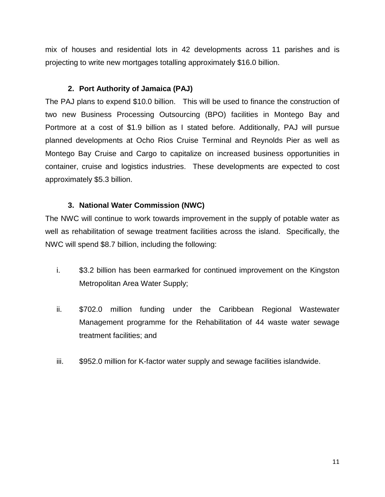mix of houses and residential lots in 42 developments across 11 parishes and is projecting to write new mortgages totalling approximately \$16.0 billion.

### **2. Port Authority of Jamaica (PAJ)**

The PAJ plans to expend \$10.0 billion. This will be used to finance the construction of two new Business Processing Outsourcing (BPO) facilities in Montego Bay and Portmore at a cost of \$1.9 billion as I stated before. Additionally, PAJ will pursue planned developments at Ocho Rios Cruise Terminal and Reynolds Pier as well as Montego Bay Cruise and Cargo to capitalize on increased business opportunities in container, cruise and logistics industries. These developments are expected to cost approximately \$5.3 billion.

#### **3. National Water Commission (NWC)**

The NWC will continue to work towards improvement in the supply of potable water as well as rehabilitation of sewage treatment facilities across the island. Specifically, the NWC will spend \$8.7 billion, including the following:

- i. \$3.2 billion has been earmarked for continued improvement on the Kingston Metropolitan Area Water Supply;
- ii. \$702.0 million funding under the Caribbean Regional Wastewater Management programme for the Rehabilitation of 44 waste water sewage treatment facilities; and
- iii. \$952.0 million for K-factor water supply and sewage facilities islandwide.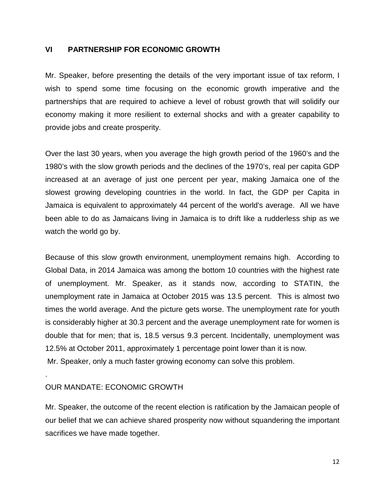#### **VI PARTNERSHIP FOR ECONOMIC GROWTH**

Mr. Speaker, before presenting the details of the very important issue of tax reform, I wish to spend some time focusing on the economic growth imperative and the partnerships that are required to achieve a level of robust growth that will solidify our economy making it more resilient to external shocks and with a greater capability to provide jobs and create prosperity.

Over the last 30 years, when you average the high growth period of the 1960's and the 1980's with the slow growth periods and the declines of the 1970's, real per capita GDP increased at an average of just one percent per year, making Jamaica one of the slowest growing developing countries in the world. In fact, the GDP per Capita in Jamaica is equivalent to approximately 44 percent of the world's average. All we have been able to do as Jamaicans living in Jamaica is to drift like a rudderless ship as we watch the world go by.

Because of this slow growth environment, unemployment remains high. According to Global Data, in 2014 Jamaica was among the bottom 10 countries with the highest rate of unemployment. Mr. Speaker, as it stands now, according to STATIN, the unemployment rate in Jamaica at October 2015 was 13.5 percent. This is almost two times the world average. And the picture gets worse. The unemployment rate for youth is considerably higher at 30.3 percent and the average unemployment rate for women is double that for men; that is, 18.5 versus 9.3 percent. Incidentally, unemployment was 12.5% at October 2011, approximately 1 percentage point lower than it is now. Mr. Speaker, only a much faster growing economy can solve this problem.

#### OUR MANDATE: ECONOMIC GROWTH

.

Mr. Speaker, the outcome of the recent election is ratification by the Jamaican people of our belief that we can achieve shared prosperity now without squandering the important sacrifices we have made together.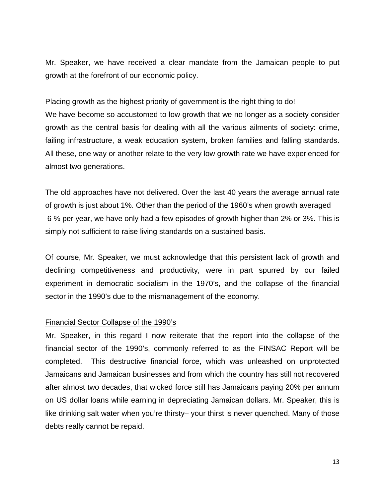Mr. Speaker, we have received a clear mandate from the Jamaican people to put growth at the forefront of our economic policy.

Placing growth as the highest priority of government is the right thing to do! We have become so accustomed to low growth that we no longer as a society consider growth as the central basis for dealing with all the various ailments of society: crime, failing infrastructure, a weak education system, broken families and falling standards. All these, one way or another relate to the very low growth rate we have experienced for almost two generations.

The old approaches have not delivered. Over the last 40 years the average annual rate of growth is just about 1%. Other than the period of the 1960's when growth averaged 6 % per year, we have only had a few episodes of growth higher than 2% or 3%. This is simply not sufficient to raise living standards on a sustained basis.

Of course, Mr. Speaker, we must acknowledge that this persistent lack of growth and declining competitiveness and productivity, were in part spurred by our failed experiment in democratic socialism in the 1970's, and the collapse of the financial sector in the 1990's due to the mismanagement of the economy.

#### Financial Sector Collapse of the 1990's

Mr. Speaker, in this regard I now reiterate that the report into the collapse of the financial sector of the 1990's, commonly referred to as the FINSAC Report will be completed. This destructive financial force, which was unleashed on unprotected Jamaicans and Jamaican businesses and from which the country has still not recovered after almost two decades, that wicked force still has Jamaicans paying 20% per annum on US dollar loans while earning in depreciating Jamaican dollars. Mr. Speaker, this is like drinking salt water when you're thirsty– your thirst is never quenched. Many of those debts really cannot be repaid.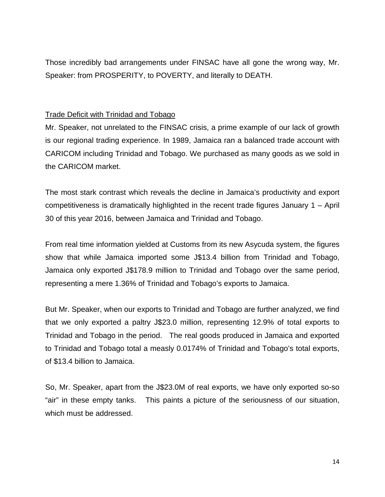Those incredibly bad arrangements under FINSAC have all gone the wrong way, Mr. Speaker: from PROSPERITY, to POVERTY, and literally to DEATH.

#### Trade Deficit with Trinidad and Tobago

Mr. Speaker, not unrelated to the FINSAC crisis, a prime example of our lack of growth is our regional trading experience. In 1989, Jamaica ran a balanced trade account with CARICOM including Trinidad and Tobago. We purchased as many goods as we sold in the CARICOM market.

The most stark contrast which reveals the decline in Jamaica's productivity and export competitiveness is dramatically highlighted in the recent trade figures January 1 – April 30 of this year 2016, between Jamaica and Trinidad and Tobago.

From real time information yielded at Customs from its new Asycuda system, the figures show that while Jamaica imported some J\$13.4 billion from Trinidad and Tobago, Jamaica only exported J\$178.9 million to Trinidad and Tobago over the same period, representing a mere 1.36% of Trinidad and Tobago's exports to Jamaica.

But Mr. Speaker, when our exports to Trinidad and Tobago are further analyzed, we find that we only exported a paltry J\$23.0 million, representing 12.9% of total exports to Trinidad and Tobago in the period. The real goods produced in Jamaica and exported to Trinidad and Tobago total a measly 0.0174% of Trinidad and Tobago's total exports, of \$13.4 billion to Jamaica.

So, Mr. Speaker, apart from the J\$23.0M of real exports, we have only exported so-so "air" in these empty tanks. This paints a picture of the seriousness of our situation, which must be addressed.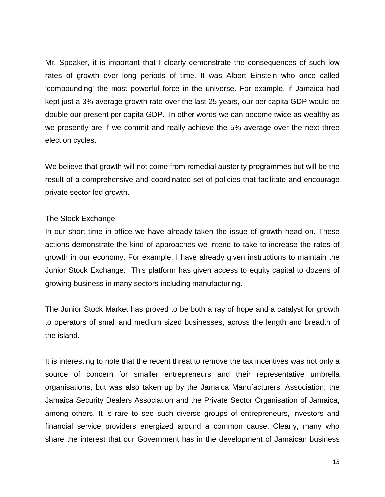Mr. Speaker, it is important that I clearly demonstrate the consequences of such low rates of growth over long periods of time. It was Albert Einstein who once called 'compounding' the most powerful force in the universe. For example, if Jamaica had kept just a 3% average growth rate over the last 25 years, our per capita GDP would be double our present per capita GDP. In other words we can become twice as wealthy as we presently are if we commit and really achieve the 5% average over the next three election cycles.

We believe that growth will not come from remedial austerity programmes but will be the result of a comprehensive and coordinated set of policies that facilitate and encourage private sector led growth.

#### The Stock Exchange

In our short time in office we have already taken the issue of growth head on. These actions demonstrate the kind of approaches we intend to take to increase the rates of growth in our economy. For example, I have already given instructions to maintain the Junior Stock Exchange. This platform has given access to equity capital to dozens of growing business in many sectors including manufacturing.

The Junior Stock Market has proved to be both a ray of hope and a catalyst for growth to operators of small and medium sized businesses, across the length and breadth of the island.

It is interesting to note that the recent threat to remove the tax incentives was not only a source of concern for smaller entrepreneurs and their representative umbrella organisations, but was also taken up by the Jamaica Manufacturers' Association, the Jamaica Security Dealers Association and the Private Sector Organisation of Jamaica, among others. It is rare to see such diverse groups of entrepreneurs, investors and financial service providers energized around a common cause. Clearly, many who share the interest that our Government has in the development of Jamaican business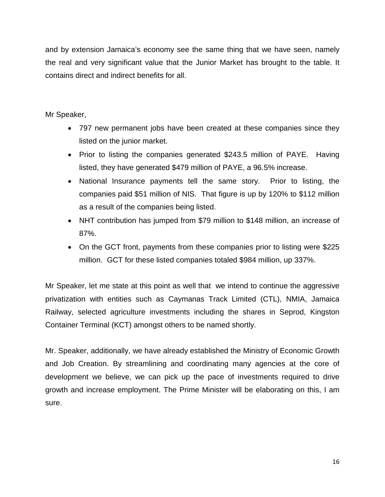and by extension Jamaica's economy see the same thing that we have seen, namely the real and very significant value that the Junior Market has brought to the table. It contains direct and indirect benefits for all.

Mr Speaker,

- 797 new permanent jobs have been created at these companies since they listed on the junior market.
- Prior to listing the companies generated \$243.5 million of PAYE. Having listed, they have generated \$479 million of PAYE, a 96.5% increase.
- National Insurance payments tell the same story. Prior to listing, the companies paid \$51 million of NIS. That figure is up by 120% to \$112 million as a result of the companies being listed.
- NHT contribution has jumped from \$79 million to \$148 million, an increase of 87%.
- On the GCT front, payments from these companies prior to listing were \$225 million. GCT for these listed companies totaled \$984 million, up 337%.

Mr Speaker, let me state at this point as well that we intend to continue the aggressive privatization with entities such as Caymanas Track Limited (CTL), NMIA, Jamaica Railway, selected agriculture investments including the shares in Seprod, Kingston Container Terminal (KCT) amongst others to be named shortly.

Mr. Speaker, additionally, we have already established the Ministry of Economic Growth and Job Creation. By streamlining and coordinating many agencies at the core of development we believe, we can pick up the pace of investments required to drive growth and increase employment. The Prime Minister will be elaborating on this, I am sure.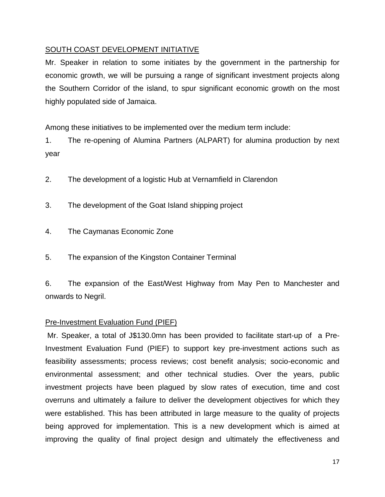### SOUTH COAST DEVELOPMENT INITIATIVE

Mr. Speaker in relation to some initiates by the government in the partnership for economic growth, we will be pursuing a range of significant investment projects along the Southern Corridor of the island, to spur significant economic growth on the most highly populated side of Jamaica.

Among these initiatives to be implemented over the medium term include:

1. The re-opening of Alumina Partners (ALPART) for alumina production by next year

- 2. The development of a logistic Hub at Vernamfield in Clarendon
- 3. The development of the Goat Island shipping project
- 4. The Caymanas Economic Zone
- 5. The expansion of the Kingston Container Terminal

6. The expansion of the East/West Highway from May Pen to Manchester and onwards to Negril.

# Pre-Investment Evaluation Fund (PIEF)

Mr. Speaker, a total of J\$130.0mn has been provided to facilitate start-up of a Pre-Investment Evaluation Fund (PIEF) to support key pre-investment actions such as feasibility assessments; process reviews; cost benefit analysis; socio-economic and environmental assessment; and other technical studies. Over the years, public investment projects have been plagued by slow rates of execution, time and cost overruns and ultimately a failure to deliver the development objectives for which they were established. This has been attributed in large measure to the quality of projects being approved for implementation. This is a new development which is aimed at improving the quality of final project design and ultimately the effectiveness and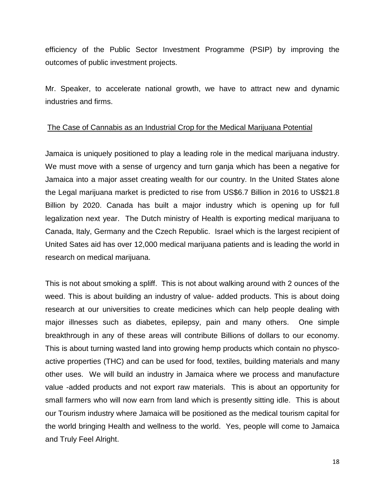efficiency of the Public Sector Investment Programme (PSIP) by improving the outcomes of public investment projects.

Mr. Speaker, to accelerate national growth, we have to attract new and dynamic industries and firms.

#### The Case of Cannabis as an Industrial Crop for the Medical Marijuana Potential

Jamaica is uniquely positioned to play a leading role in the medical marijuana industry. We must move with a sense of urgency and turn ganja which has been a negative for Jamaica into a major asset creating wealth for our country. In the United States alone the Legal marijuana market is predicted to rise from US\$6.7 Billion in 2016 to US\$21.8 Billion by 2020. Canada has built a major industry which is opening up for full legalization next year. The Dutch ministry of Health is exporting medical marijuana to Canada, Italy, Germany and the Czech Republic. Israel which is the largest recipient of United Sates aid has over 12,000 medical marijuana patients and is leading the world in research on medical marijuana.

This is not about smoking a spliff. This is not about walking around with 2 ounces of the weed. This is about building an industry of value- added products. This is about doing research at our universities to create medicines which can help people dealing with major illnesses such as diabetes, epilepsy, pain and many others. One simple breakthrough in any of these areas will contribute Billions of dollars to our economy. This is about turning wasted land into growing hemp products which contain no physcoactive properties (THC) and can be used for food, textiles, building materials and many other uses. We will build an industry in Jamaica where we process and manufacture value -added products and not export raw materials. This is about an opportunity for small farmers who will now earn from land which is presently sitting idle. This is about our Tourism industry where Jamaica will be positioned as the medical tourism capital for the world bringing Health and wellness to the world. Yes, people will come to Jamaica and Truly Feel Alright.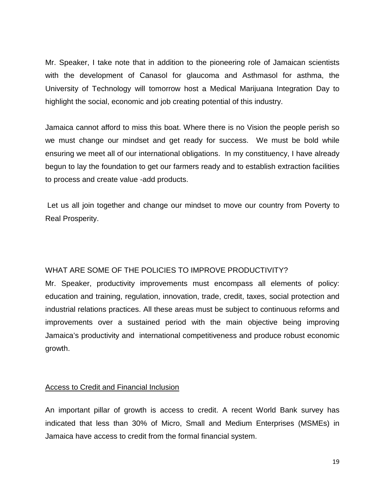Mr. Speaker, I take note that in addition to the pioneering role of Jamaican scientists with the development of Canasol for glaucoma and Asthmasol for asthma, the University of Technology will tomorrow host a Medical Marijuana Integration Day to highlight the social, economic and job creating potential of this industry.

Jamaica cannot afford to miss this boat. Where there is no Vision the people perish so we must change our mindset and get ready for success. We must be bold while ensuring we meet all of our international obligations. In my constituency, I have already begun to lay the foundation to get our farmers ready and to establish extraction facilities to process and create value -add products.

Let us all join together and change our mindset to move our country from Poverty to Real Prosperity.

# WHAT ARE SOME OF THE POLICIES TO IMPROVE PRODUCTIVITY?

Mr. Speaker, productivity improvements must encompass all elements of policy: education and training, regulation, innovation, trade, credit, taxes, social protection and industrial relations practices. All these areas must be subject to continuous reforms and improvements over a sustained period with the main objective being improving Jamaica's productivity and international competitiveness and produce robust economic growth.

#### Access to Credit and Financial Inclusion

An important pillar of growth is access to credit. A recent World Bank survey has indicated that less than 30% of Micro, Small and Medium Enterprises (MSMEs) in Jamaica have access to credit from the formal financial system.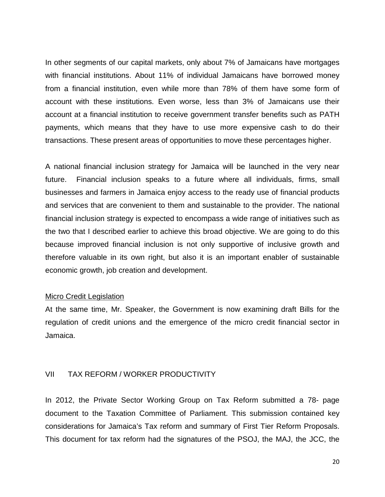In other segments of our capital markets, only about 7% of Jamaicans have mortgages with financial institutions. About 11% of individual Jamaicans have borrowed money from a financial institution, even while more than 78% of them have some form of account with these institutions. Even worse, less than 3% of Jamaicans use their account at a financial institution to receive government transfer benefits such as PATH payments, which means that they have to use more expensive cash to do their transactions. These present areas of opportunities to move these percentages higher.

A national financial inclusion strategy for Jamaica will be launched in the very near future. Financial inclusion speaks to a future where all individuals, firms, small businesses and farmers in Jamaica enjoy access to the ready use of financial products and services that are convenient to them and sustainable to the provider. The national financial inclusion strategy is expected to encompass a wide range of initiatives such as the two that I described earlier to achieve this broad objective. We are going to do this because improved financial inclusion is not only supportive of inclusive growth and therefore valuable in its own right, but also it is an important enabler of sustainable economic growth, job creation and development.

#### Micro Credit Legislation

At the same time, Mr. Speaker, the Government is now examining draft Bills for the regulation of credit unions and the emergence of the micro credit financial sector in Jamaica.

#### VII TAX REFORM / WORKER PRODUCTIVITY

In 2012, the Private Sector Working Group on Tax Reform submitted a 78- page document to the Taxation Committee of Parliament. This submission contained key considerations for Jamaica's Tax reform and summary of First Tier Reform Proposals. This document for tax reform had the signatures of the PSOJ, the MAJ, the JCC, the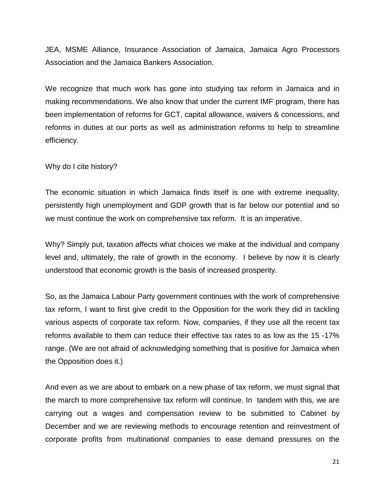JEA, MSME Alliance, Insurance Association of Jamaica, Jamaica Agro Processors Association and the Jamaica Bankers Association.

We recognize that much work has gone into studying tax reform in Jamaica and in making recommendations. We also know that under the current IMF program, there has been implementation of reforms for GCT, capital allowance, waivers & concessions, and reforms in duties at our ports as well as administration reforms to help to streamline efficiency.

Why do I cite history?

The economic situation in which Jamaica finds itself is one with extreme inequality, persistently high unemployment and GDP growth that is far below our potential and so we must continue the work on comprehensive tax reform. It is an imperative.

Why? Simply put, taxation affects what choices we make at the individual and company level and, ultimately, the rate of growth in the economy. I believe by now it is clearly understood that economic growth is the basis of increased prosperity.

So, as the Jamaica Labour Party government continues with the work of comprehensive tax reform, I want to first give credit to the Opposition for the work they did in tackling various aspects of corporate tax reform. Now, companies, if they use all the recent tax reforms available to them can reduce their effective tax rates to as low as the 15 -17% range. (We are not afraid of acknowledging something that is positive for Jamaica when the Opposition does it.)

And even as we are about to embark on a new phase of tax reform, we must signal that the march to more comprehensive tax reform will continue. In tandem with this, we are carrying out a wages and compensation review to be submitted to Cabinet by December and we are reviewing methods to encourage retention and reinvestment of corporate profits from multinational companies to ease demand pressures on the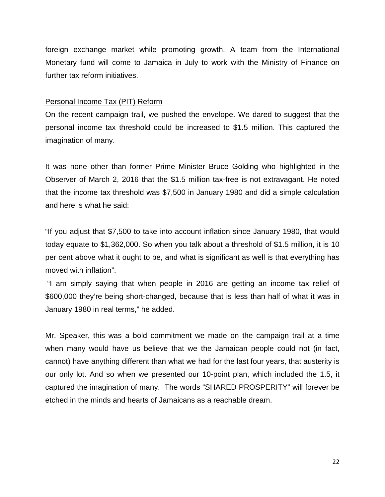foreign exchange market while promoting growth. A team from the International Monetary fund will come to Jamaica in July to work with the Ministry of Finance on further tax reform initiatives.

#### Personal Income Tax (PIT) Reform

On the recent campaign trail, we pushed the envelope. We dared to suggest that the personal income tax threshold could be increased to \$1.5 million. This captured the imagination of many.

It was none other than former Prime Minister Bruce Golding who highlighted in the Observer of March 2, 2016 that the \$1.5 million tax-free is not extravagant. He noted that the income tax threshold was \$7,500 in January 1980 and did a simple calculation and here is what he said:

"If you adjust that \$7,500 to take into account inflation since January 1980, that would today equate to \$1,362,000. So when you talk about a threshold of \$1.5 million, it is 10 per cent above what it ought to be, and what is significant as well is that everything has moved with inflation".

"I am simply saying that when people in 2016 are getting an income tax relief of \$600,000 they're being short-changed, because that is less than half of what it was in January 1980 in real terms," he added.

Mr. Speaker, this was a bold commitment we made on the campaign trail at a time when many would have us believe that we the Jamaican people could not (in fact, cannot) have anything different than what we had for the last four years, that austerity is our only lot. And so when we presented our 10-point plan, which included the 1.5, it captured the imagination of many. The words "SHARED PROSPERITY" will forever be etched in the minds and hearts of Jamaicans as a reachable dream.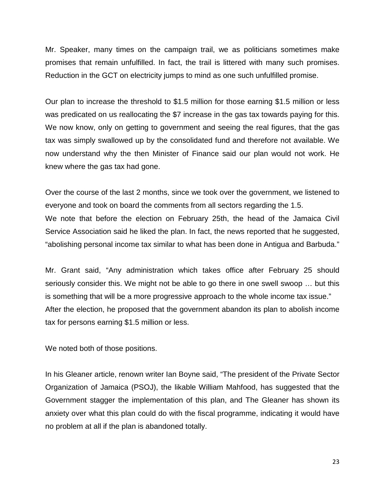Mr. Speaker, many times on the campaign trail, we as politicians sometimes make promises that remain unfulfilled. In fact, the trail is littered with many such promises. Reduction in the GCT on electricity jumps to mind as one such unfulfilled promise.

Our plan to increase the threshold to \$1.5 million for those earning \$1.5 million or less was predicated on us reallocating the \$7 increase in the gas tax towards paying for this. We now know, only on getting to government and seeing the real figures, that the gas tax was simply swallowed up by the consolidated fund and therefore not available. We now understand why the then Minister of Finance said our plan would not work. He knew where the gas tax had gone.

Over the course of the last 2 months, since we took over the government, we listened to everyone and took on board the comments from all sectors regarding the 1.5. We note that before the election on February 25th, the head of the Jamaica Civil Service Association said he liked the plan. In fact, the news reported that he suggested, "abolishing personal income tax similar to what has been done in Antigua and Barbuda."

Mr. Grant said, "Any administration which takes office after February 25 should seriously consider this. We might not be able to go there in one swell swoop … but this is something that will be a more progressive approach to the whole income tax issue." After the election, he proposed that the government abandon its plan to abolish income tax for persons earning \$1.5 million or less.

We noted both of those positions.

In his Gleaner article, renown writer Ian Boyne said, "The president of the Private Sector Organization of Jamaica (PSOJ), the likable William Mahfood, has suggested that the Government stagger the implementation of this plan, and The Gleaner has shown its anxiety over what this plan could do with the fiscal programme, indicating it would have no problem at all if the plan is abandoned totally.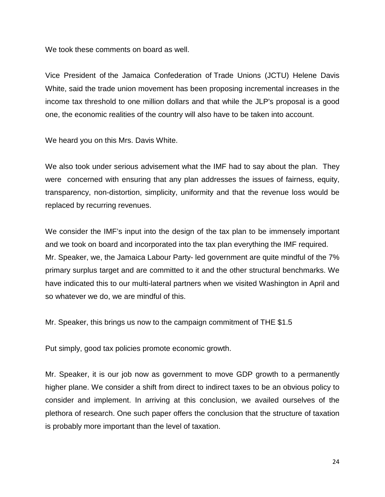We took these comments on board as well.

Vice President of the Jamaica Confederation of Trade Unions (JCTU) Helene Davis White, said the trade union movement has been proposing incremental increases in the income tax threshold to one million dollars and that while the JLP's proposal is a good one, the economic realities of the country will also have to be taken into account.

We heard you on this Mrs. Davis White.

We also took under serious advisement what the IMF had to say about the plan. They were concerned with ensuring that any plan addresses the issues of fairness, equity, transparency, non-distortion, simplicity, uniformity and that the revenue loss would be replaced by recurring revenues.

We consider the IMF's input into the design of the tax plan to be immensely important and we took on board and incorporated into the tax plan everything the IMF required. Mr. Speaker, we, the Jamaica Labour Party- led government are quite mindful of the 7% primary surplus target and are committed to it and the other structural benchmarks. We have indicated this to our multi-lateral partners when we visited Washington in April and so whatever we do, we are mindful of this.

Mr. Speaker, this brings us now to the campaign commitment of THE \$1.5

Put simply, good tax policies promote economic growth.

Mr. Speaker, it is our job now as government to move GDP growth to a permanently higher plane. We consider a shift from direct to indirect taxes to be an obvious policy to consider and implement. In arriving at this conclusion, we availed ourselves of the plethora of research. One such paper offers the conclusion that the structure of taxation is probably more important than the level of taxation.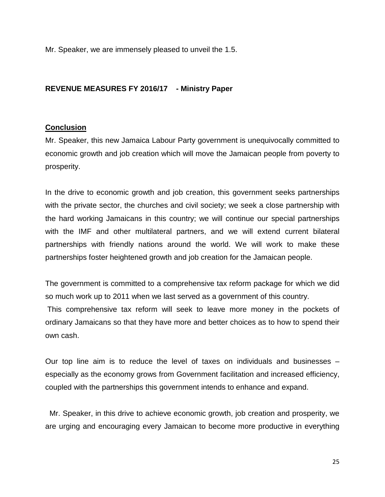Mr. Speaker, we are immensely pleased to unveil the 1.5.

#### **REVENUE MEASURES FY 2016/17 - Ministry Paper**

#### **Conclusion**

Mr. Speaker, this new Jamaica Labour Party government is unequivocally committed to economic growth and job creation which will move the Jamaican people from poverty to prosperity.

In the drive to economic growth and job creation, this government seeks partnerships with the private sector, the churches and civil society; we seek a close partnership with the hard working Jamaicans in this country; we will continue our special partnerships with the IMF and other multilateral partners, and we will extend current bilateral partnerships with friendly nations around the world. We will work to make these partnerships foster heightened growth and job creation for the Jamaican people.

The government is committed to a comprehensive tax reform package for which we did so much work up to 2011 when we last served as a government of this country.

This comprehensive tax reform will seek to leave more money in the pockets of ordinary Jamaicans so that they have more and better choices as to how to spend their own cash.

Our top line aim is to reduce the level of taxes on individuals and businesses – especially as the economy grows from Government facilitation and increased efficiency, coupled with the partnerships this government intends to enhance and expand.

 Mr. Speaker, in this drive to achieve economic growth, job creation and prosperity, we are urging and encouraging every Jamaican to become more productive in everything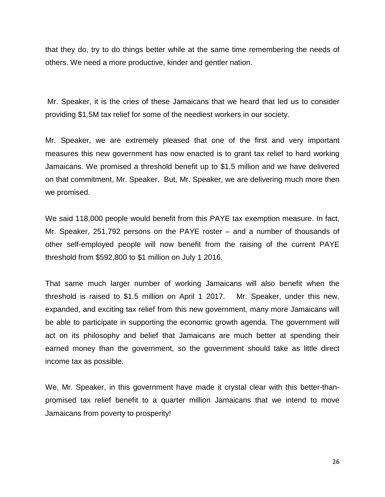that they do, try to do things better while at the same time remembering the needs of others. We need a more productive, kinder and gentler nation.

Mr. Speaker, it is the cries of these Jamaicans that we heard that led us to consider providing \$1.5M tax relief for some of the neediest workers in our society.

Mr. Speaker, we are extremely pleased that one of the first and very important measures this new government has now enacted is to grant tax relief to hard working Jamaicans. We promised a threshold benefit up to \$1.5 million and we have delivered on that commitment, Mr. Speaker. But, Mr. Speaker, we are delivering much more then we promised.

We said 118,000 people would benefit from this PAYE tax exemption measure. In fact, Mr. Speaker, 251,792 persons on the PAYE roster – and a number of thousands of other self-employed people will now benefit from the raising of the current PAYE threshold from \$592,800 to \$1 million on July 1 2016.

That same much larger number of working Jamaicans will also benefit when the threshold is raised to \$1.5 million on April 1 2017. Mr. Speaker, under this new, expanded, and exciting tax relief from this new government, many more Jamaicans will be able to participate in supporting the economic growth agenda. The government will act on its philosophy and belief that Jamaicans are much better at spending their earned money than the government, so the government should take as little direct income tax as possible.

We, Mr. Speaker, in this government have made it crystal clear with this better-thanpromised tax relief benefit to a quarter million Jamaicans that we intend to move Jamaicans from poverty to prosperity!